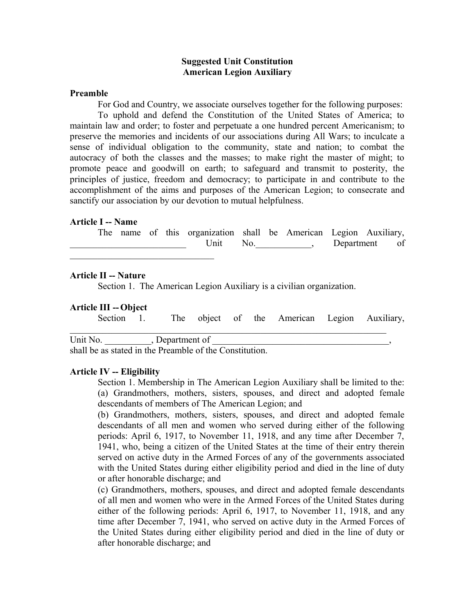# **Suggested Unit Constitution American Legion Auxiliary**

#### **Preamble**

For God and Country, we associate ourselves together for the following purposes:

To uphold and defend the Constitution of the United States of America; to maintain law and order; to foster and perpetuate a one hundred percent Americanism; to preserve the memories and incidents of our associations during All Wars; to inculcate a sense of individual obligation to the community, state and nation; to combat the autocracy of both the classes and the masses; to make right the master of might; to promote peace and goodwill on earth; to safeguard and transmit to posterity, the principles of justice, freedom and democracy; to participate in and contribute to the accomplishment of the aims and purposes of the American Legion; to consecrate and sanctify our association by our devotion to mutual helpfulness.

# **Article I -- Name**

|  |  | The name of this organization shall be American Legion Auxiliary, |     |  |               |  |  |
|--|--|-------------------------------------------------------------------|-----|--|---------------|--|--|
|  |  | Jnit                                                              | No. |  | Department of |  |  |

#### **Article II -- Nature**

Section 1. The American Legion Auxiliary is a civilian organization.

#### **Article III --Object**

| Section 1.                                              |                 |  | The object of the American Legion Auxiliary, |  |
|---------------------------------------------------------|-----------------|--|----------------------------------------------|--|
| Unit No.                                                | , Department of |  |                                              |  |
| shall be as stated in the Preamble of the Constitution. |                 |  |                                              |  |

#### **Article IV -- Eligibility**

Section 1. Membership in The American Legion Auxiliary shall be limited to the: (a) Grandmothers, mothers, sisters, spouses, and direct and adopted female descendants of members of The American Legion; and

(b) Grandmothers, mothers, sisters, spouses, and direct and adopted female descendants of all men and women who served during either of the following periods: April 6, 1917, to November 11, 1918, and any time after December 7, 1941, who, being a citizen of the United States at the time of their entry therein served on active duty in the Armed Forces of any of the governments associated with the United States during either eligibility period and died in the line of duty or after honorable discharge; and

(c) Grandmothers, mothers, spouses, and direct and adopted female descendants of all men and women who were in the Armed Forces of the United States during either of the following periods: April 6, 1917, to November 11, 1918, and any time after December 7, 1941, who served on active duty in the Armed Forces of the United States during either eligibility period and died in the line of duty or after honorable discharge; and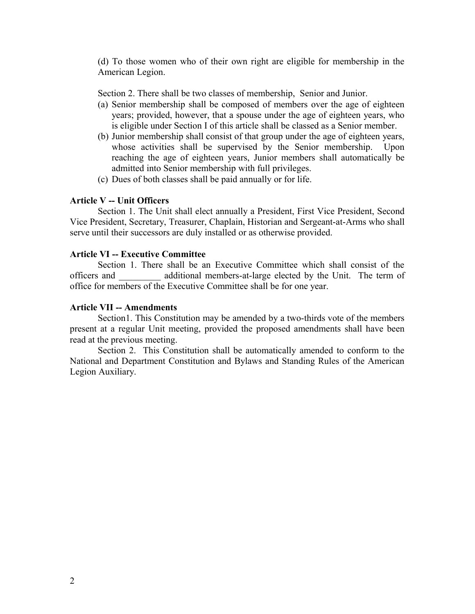(d) To those women who of their own right are eligible for membership in the American Legion.

Section 2. There shall be two classes of membership, Senior and Junior.

- (a) Senior membership shall be composed of members over the age of eighteen years; provided, however, that a spouse under the age of eighteen years, who is eligible under Section I of this article shall be classed as a Senior member.
- (b) Junior membership shall consist of that group under the age of eighteen years, whose activities shall be supervised by the Senior membership. Upon reaching the age of eighteen years, Junior members shall automatically be admitted into Senior membership with full privileges.
- (c) Dues of both classes shall be paid annually or for life.

# **Article V -- Unit Officers**

Section 1. The Unit shall elect annually a President, First Vice President, Second Vice President, Secretary, Treasurer, Chaplain, Historian and Sergeant-at-Arms who shall serve until their successors are duly installed or as otherwise provided.

## **Article VI -- Executive Committee**

Section 1. There shall be an Executive Committee which shall consist of the officers and \_\_\_\_\_\_\_\_\_ additional members-at-large elected by the Unit. The term of office for members of the Executive Committee shall be for one year.

## **Article VII -- Amendments**

Section1. This Constitution may be amended by a two-thirds vote of the members present at a regular Unit meeting, provided the proposed amendments shall have been read at the previous meeting.

Section 2. This Constitution shall be automatically amended to conform to the National and Department Constitution and Bylaws and Standing Rules of the American Legion Auxiliary.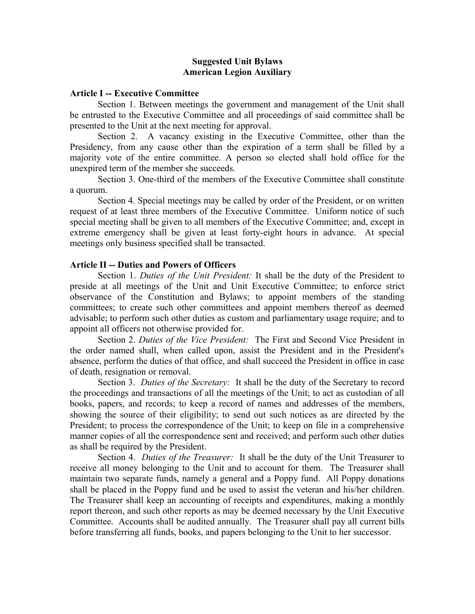# **Suggested Unit Bylaws American Legion Auxiliary**

## **Article I -- Executive Committee**

Section 1. Between meetings the government and management of the Unit shall be entrusted to the Executive Committee and all proceedings of said committee shall be presented to the Unit at the next meeting for approval.

Section 2. A vacancy existing in the Executive Committee, other than the Presidency, from any cause other than the expiration of a term shall be filled by a majority vote of the entire committee. A person so elected shall hold office for the unexpired term of the member she succeeds.

Section 3. One-third of the members of the Executive Committee shall constitute a quorum.

Section 4. Special meetings may be called by order of the President, or on written request of at least three members of the Executive Committee. Uniform notice of such special meeting shall be given to all members of the Executive Committee; and, except in extreme emergency shall be given at least forty-eight hours in advance. At special meetings only business specified shall be transacted.

# **Article II -- Duties and Powers of Officers**

Section 1. *Duties of the Unit President:* It shall be the duty of the President to preside at all meetings of the Unit and Unit Executive Committee; to enforce strict observance of the Constitution and Bylaws; to appoint members of the standing committees; to create such other committees and appoint members thereof as deemed advisable; to perform such other duties as custom and parliamentary usage require; and to appoint all officers not otherwise provided for.

Section 2. *Duties of the Vice President:* The First and Second Vice President in the order named shall, when called upon, assist the President and in the President's absence, perform the duties of that office, and shall succeed the President in office in case of death, resignation or removal.

Section 3. *Duties of the Secretary:* It shall be the duty of the Secretary to record the proceedings and transactions of all the meetings of the Unit; to act as custodian of all books, papers, and records; to keep a record of names and addresses of the members, showing the source of their eligibility; to send out such notices as are directed by the President; to process the correspondence of the Unit; to keep on file in a comprehensive manner copies of all the correspondence sent and received; and perform such other duties as shall be required by the President.

Section 4. *Duties of the Treasurer:* It shall be the duty of the Unit Treasurer to receive all money belonging to the Unit and to account for them. The Treasurer shall maintain two separate funds, namely a general and a Poppy fund. All Poppy donations shall be placed in the Poppy fund and be used to assist the veteran and his/her children. The Treasurer shall keep an accounting of receipts and expenditures, making a monthly report thereon, and such other reports as may be deemed necessary by the Unit Executive Committee. Accounts shall be audited annually. The Treasurer shall pay all current bills before transferring all funds, books, and papers belonging to the Unit to her successor.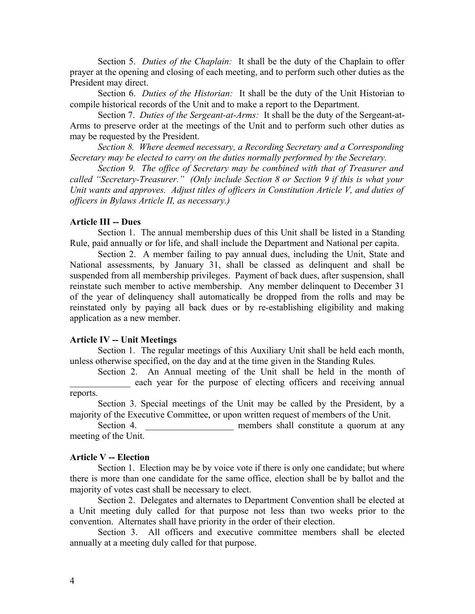Section 5. *Duties of the Chaplain:* It shall be the duty of the Chaplain to offer prayer at the opening and closing of each meeting, and to perform such other duties as the President may direct.

Section 6. *Duties of the Historian:* It shall be the duty of the Unit Historian to compile historical records of the Unit and to make a report to the Department.

Section 7. *Duties of the Sergeant-at-Arms:* It shall be the duty of the Sergeant-at-Arms to preserve order at the meetings of the Unit and to perform such other duties as may be requested by the President.

*Section 8. Where deemed necessary, a Recording Secretary and a Corresponding Secretary may be elected to carry on the duties normally performed by the Secretary.* 

*Section 9. The office of Secretary may be combined with that of Treasurer and called "Secretary-Treasurer." (Only include Section 8 or Section 9 if this is what your Unit wants and approves. Adjust titles of officers in Constitution Article V, and duties of officers in Bylaws Article II, as necessary.)*

# **Article III -- Dues**

Section 1. The annual membership dues of this Unit shall be listed in a Standing Rule, paid annually or for life, and shall include the Department and National per capita.

Section 2. A member failing to pay annual dues, including the Unit, State and National assessments, by January 31, shall be classed as delinquent and shall be suspended from all membership privileges. Payment of back dues, after suspension, shall reinstate such member to active membership. Any member delinquent to December 31 of the year of delinquency shall automatically be dropped from the rolls and may be reinstated only by paying all back dues or by re-establishing eligibility and making application as a new member.

#### **Article IV -- Unit Meetings**

Section 1. The regular meetings of this Auxiliary Unit shall be held each month, unless otherwise specified, on the day and at the time given in the Standing Rules*.* 

Section 2. An Annual meeting of the Unit shall be held in the month of each year for the purpose of electing officers and receiving annual

## reports.

Section 3. Special meetings of the Unit may be called by the President, by a majority of the Executive Committee, or upon written request of members of the Unit.

Section 4. **Exercise 2. Section** 4. **a members** shall constitute a quorum at any meeting of the Unit.

## **Article V -- Election**

Section 1. Election may be by voice vote if there is only one candidate; but where there is more than one candidate for the same office, election shall be by ballot and the majority of votes cast shall be necessary to elect.

Section 2. Delegates and alternates to Department Convention shall be elected at a Unit meeting duly called for that purpose not less than two weeks prior to the convention. Alternates shall have priority in the order of their election.

Section 3. All officers and executive committee members shall be elected annually at a meeting duly called for that purpose.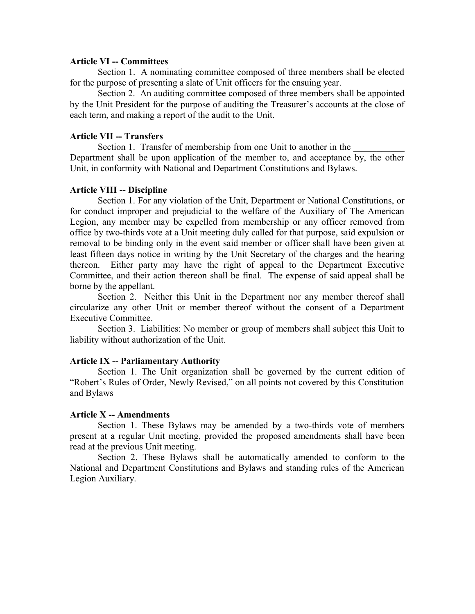## **Article VI -- Committees**

Section 1. A nominating committee composed of three members shall be elected for the purpose of presenting a slate of Unit officers for the ensuing year.

Section 2. An auditing committee composed of three members shall be appointed by the Unit President for the purpose of auditing the Treasurer's accounts at the close of each term, and making a report of the audit to the Unit.

# **Article VII -- Transfers**

Section 1. Transfer of membership from one Unit to another in the Department shall be upon application of the member to, and acceptance by, the other Unit, in conformity with National and Department Constitutions and Bylaws.

### **Article VIII -- Discipline**

Section 1. For any violation of the Unit, Department or National Constitutions, or for conduct improper and prejudicial to the welfare of the Auxiliary of The American Legion, any member may be expelled from membership or any officer removed from office by two-thirds vote at a Unit meeting duly called for that purpose, said expulsion or removal to be binding only in the event said member or officer shall have been given at least fifteen days notice in writing by the Unit Secretary of the charges and the hearing thereon. Either party may have the right of appeal to the Department Executive Committee, and their action thereon shall be final. The expense of said appeal shall be borne by the appellant.

Section 2. Neither this Unit in the Department nor any member thereof shall circularize any other Unit or member thereof without the consent of a Department Executive Committee.

Section 3. Liabilities: No member or group of members shall subject this Unit to liability without authorization of the Unit.

#### **Article IX -- Parliamentary Authority**

Section 1. The Unit organization shall be governed by the current edition of "Robert's Rules of Order, Newly Revised," on all points not covered by this Constitution and Bylaws

#### **Article X -- Amendments**

Section 1. These Bylaws may be amended by a two-thirds vote of members present at a regular Unit meeting, provided the proposed amendments shall have been read at the previous Unit meeting.

Section 2. These Bylaws shall be automatically amended to conform to the National and Department Constitutions and Bylaws and standing rules of the American Legion Auxiliary.